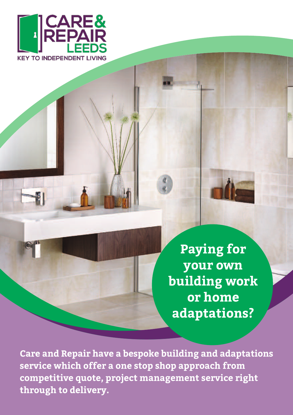

**Paying for your own building work or home adaptations?**

**Care and Repair have a bespoke building and adaptations service which offer a one stop shop approach from competitive quote, project management service right through to delivery.**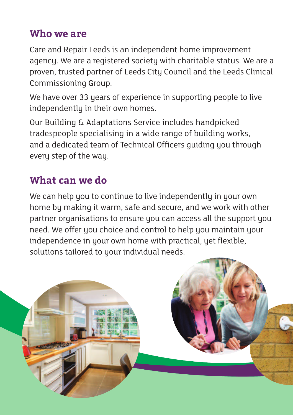#### **Who we are**

Care and Repair Leeds is an independent home improvement agency. We are a registered society with charitable status. We are a proven, trusted partner of Leeds City Council and the Leeds Clinical Commissioning Group.

We have over 33 years of experience in supporting people to live independently in their own homes.

Our Building & Adaptations Service includes handpicked tradespeople specialising in a wide range of building works, and a dedicated team of Technical Officers guiding you through every step of the way.

### **What can we do**

We can help you to continue to live independently in your own home by making it warm, safe and secure, and we work with other partner organisations to ensure you can access all the support you need. We offer you choice and control to help you maintain your independence in your own home with practical, yet flexible, solutions tailored to your individual needs.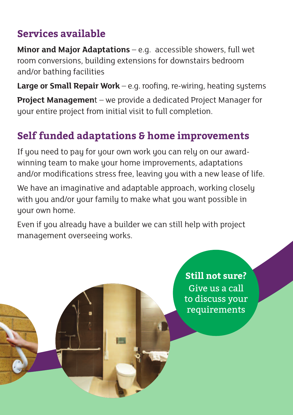## **Services available**

**Minor and Major Adaptations** – e.g. accessible showers, full wet room conversions, building extensions for downstairs bedroom and/or bathing facilities

**Large or Small Repair Work** – e.g. roofing, re-wiring, heating systems

**Project Managemen**t – we provide a dedicated Project Manager for your entire project from initial visit to full completion.

# **Self funded adaptations & home improvements**

If you need to pay for your own work you can rely on our awardwinning team to make your home improvements, adaptations and/or modifications stress free, leaving you with a new lease of life.

We have an imaginative and adaptable approach, working closely with you and/or your family to make what you want possible in your own home.

Even if you already have a builder we can still help with project management overseeing works.

pan

**Still not sure?** Give us a call to discuss your requirements